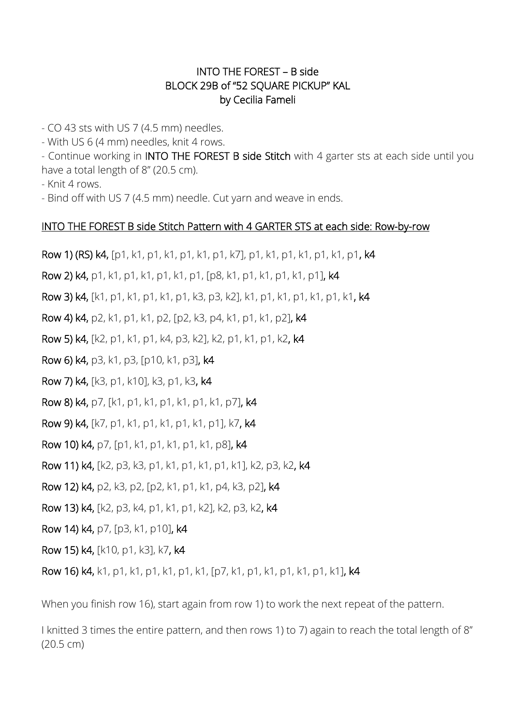## INTO THE FOREST – B side BLOCK 29B of "52 SQUARE PICKUP" KAL by Cecilia Fameli

- CO 43 sts with US 7 (4.5 mm) needles.

- With US 6 (4 mm) needles, knit 4 rows.

- Continue working in **INTO THE FOREST B side Stitch** with 4 garter sts at each side until you have a total length of 8" (20.5 cm).

- Knit 4 rows.

- Bind off with US 7 (4.5 mm) needle. Cut yarn and weave in ends.

## INTO THE FOREST B side Stitch Pattern with 4 GARTER STS at each side: Row-by-row

Row 1) (RS) k4, [p1, k1, p1, k1, p1, k1, p1, k7], p1, k1, p1, k1, p1, k1, p1, k4

Row 2) k4, p1, k1, p1, k1, p1, k1, p1, [p8, k1, p1, k1, p1, k1, p1], k4

Row 3) k4, [k1, p1, k1, p1, k1, p1, k3, p3, k2], k1, p1, k1, p1, k1, p1, k1, k4

Row 4) k4, p2, k1, p1, k1, p2, [p2, k3, p4, k1, p1, k1, p2], k4

Row 5) k4, [k2, p1, k1, p1, k4, p3, k2], k2, p1, k1, p1, k2, k4

Row 6) k4, p3, k1, p3, [p10, k1, p3], k4

Row 7) k4, [k3, p1, k10], k3, p1, k3, k4

Row 8) k4, p7, [k1, p1, k1, p1, k1, p1, k1, p7], k4

Row 9) k4, [k7, p1, k1, p1, k1, p1, k1, p1], k7, k4

Row 10) k4, p7, [p1, k1, p1, k1, p1, k1, p8], k4

Row 11) k4, [k2, p3, k3, p1, k1, p1, k1, p1, k1], k2, p3, k2, k4

Row 12) k4, p2, k3, p2, [p2, k1, p1, k1, p4, k3, p2], k4

Row 13) k4, [k2, p3, k4, p1, k1, p1, k2], k2, p3, k2, k4

Row 14) k4, p7, [p3, k1, p10], k4

Row 15) k4, [k10, p1, k3], k7, k4

Row 16) k4, k1, p1, k1, p1, k1, p1, k1, [p7, k1, p1, k1, p1, k1, p1, k1], k4

When you finish row 16), start again from row 1) to work the next repeat of the pattern.

I knitted 3 times the entire pattern, and then rows 1) to 7) again to reach the total length of 8'' (20.5 cm)